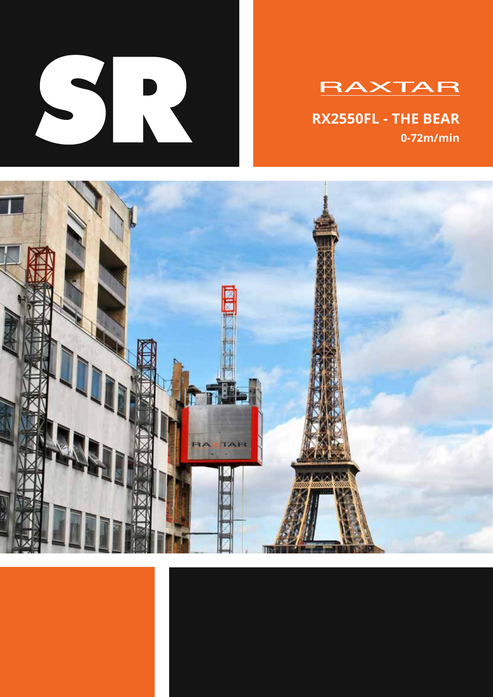

# **RAXTAR**

**RX2550FL - THE BEAR 0-72m/min**

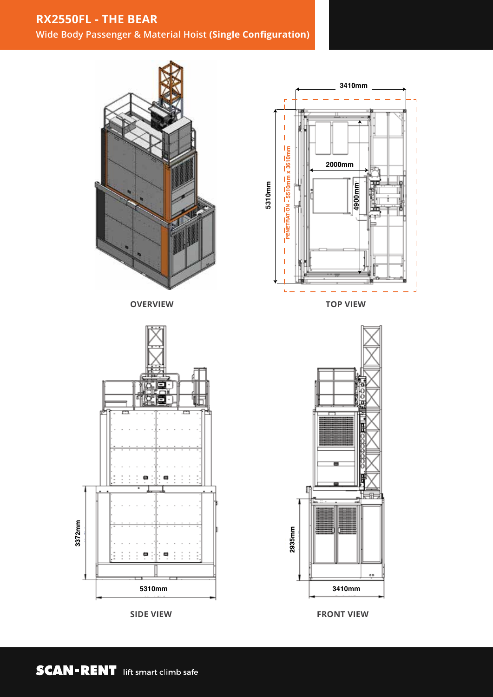### **RX2550FL - THE BEAR**

**Wide Body Passenger & Material Hoist (Single Configuration)**



**SIDE VIEW**



**TOP VIEW**



**FRONT VIEW**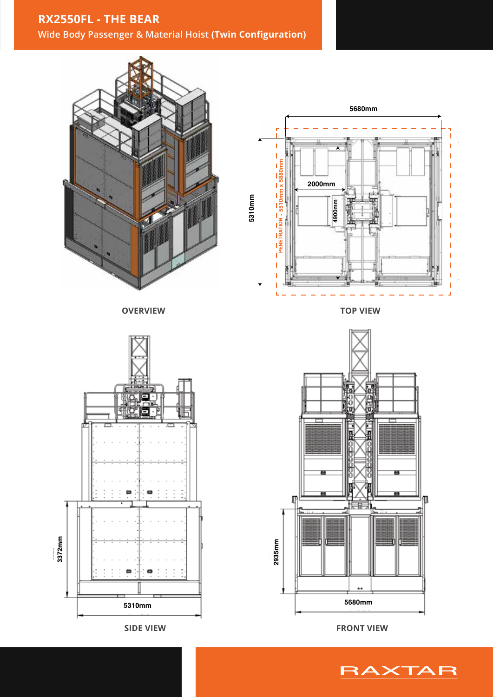### **RX2550FL - THE BEAR**

**Wide Body Passenger & Material Hoist (Twin Configuration)**



**OVERVIEW**





**TOP VIEW**



**FRONT VIEW**